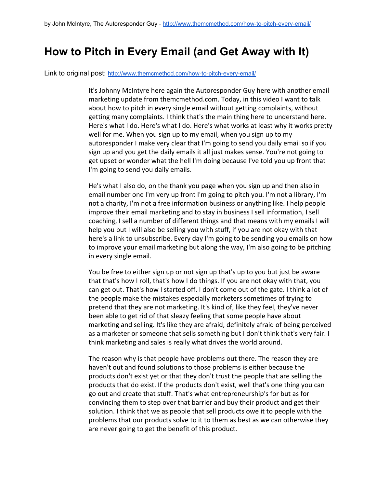## **How to Pitch in Every Email (and Get Away with It)**

Link to original post: http://www.themcmethod.com/how-to-pitch-every-email/

It's Johnny McIntyre here again the Autoresponder Guy here with another email marketing update from themcmethod.com. Today, in this video I want to talk about how to pitch in every single email without getting complaints, without getting many complaints. I think that's the main thing here to understand here. Here's what I do. Here's what I do. Here's what works at least why it works pretty well for me. When you sign up to my email, when you sign up to my autoresponder I make very clear that I'm going to send you daily email so if you sign up and you get the daily emails it all just makes sense. You're not going to get upset or wonder what the hell I'm doing because I've told you up front that I'm going to send you daily emails.

He's what I also do, on the thank you page when you sign up and then also in email number one I'm very up front I'm going to pitch you. I'm not a library, I'm not a charity, I'm not a free information business or anything like. I help people improve their email marketing and to stay in business I sell information, I sell coaching, I sell a number of different things and that means with my emails I will help you but I will also be selling you with stuff, if you are not okay with that here's a link to unsubscribe. Every day I'm going to be sending you emails on how to improve your email marketing but along the way, I'm also going to be pitching in every single email.

You be free to either sign up or not sign up that's up to you but just be aware that that's how I roll, that's how I do things. If you are not okay with that, you can get out. That's how I started off. I don't come out of the gate. I think a lot of the people make the mistakes especially marketers sometimes of trying to pretend that they are not marketing. It's kind of, like they feel, they've never been able to get rid of that sleazy feeling that some people have about marketing and selling. It's like they are afraid, definitely afraid of being perceived as a marketer or someone that sells something but I don't think that's very fair. I think marketing and sales is really what drives the world around.

The reason why is that people have problems out there. The reason they are haven't out and found solutions to those problems is either because the products don't exist yet or that they don't trust the people that are selling the products that do exist. If the products don't exist, well that's one thing you can go out and create that stuff. That's what entrepreneurship's for but as for convincing them to step over that barrier and buy their product and get their solution. I think that we as people that sell products owe it to people with the problems that our products solve to it to them as best as we can otherwise they are never going to get the benefit of this product.